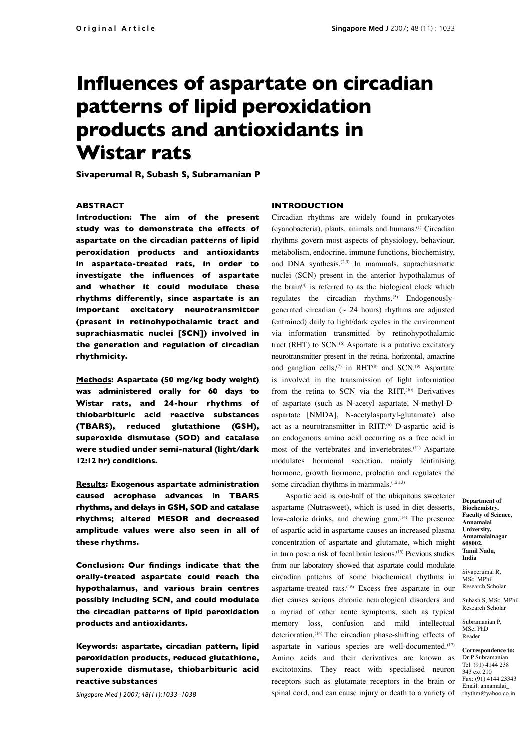# **Influences of aspartate on circadian patterns of lipid peroxidation products and antioxidants in Wistar rats**

**Sivaperumal R, Subash S, Subramanian P**

# **ABSTRACT**

**Introduction: The aim of the present study was to demonstrate the effects of aspartate on the circadian patterns of lipid peroxidation products and antioxidants in aspartate-treated rats, in order to investigate the influences of aspartate and whether it could modulate these rhythms differently, since aspartate is an important excitatory neurotransmitter (present in retinohypothalamic tract and suprachiasmatic nuclei [SCN]) involved in the generation and regulation of circadian rhythmicity.**

**Methods: Aspartate (50 mg/kg body weight) was administered orally for 60 days to Wistar rats, and 24-hour rhythms of thiobarbituric acid reactive substances (TBARS), reduced glutathione (GSH), superoxide dismutase (SOD) and catalase were studied under semi-natural (light/dark 12:12 hr) conditions.** 

**Results: Exogenous aspartate administration caused acrophase advances in TBARS rhythms, and delays in GSH, SOD and catalase rhythms; altered MESOR and decreased amplitude values were also seen in all of these rhythms.** 

**Conclusion: Our findings indicate that the orally-treated aspartate could reach the hypothalamus, and various brain centres possibly including SCN, and could modulate the circadian patterns of lipid peroxidation products and antioxidants.** 

**Keywords: aspartate, circadian pattern, lipid peroxidation products, reduced glutathione, superoxide dismutase, thiobarbituric acid reactive substances**

*Singapore Med J 2007; 48(11):1033–1038*

#### **INTRODUCTION**

Circadian rhythms are widely found in prokaryotes (cyanobacteria), plants, animals and humans.(1) Circadian rhythms govern most aspects of physiology, behaviour, metabolism, endocrine, immune functions, biochemistry, and DNA synthesis.<sup>(2,3)</sup> In mammals, suprachiasmatic nuclei (SCN) present in the anterior hypothalamus of the brain<sup>(4)</sup> is referred to as the biological clock which regulates the circadian rhythms.<sup>(5)</sup> Endogenouslygenerated circadian ( $\sim$  24 hours) rhythms are adjusted (entrained) daily to light/dark cycles in the environment via information transmitted by retinohypothalamic tract (RHT) to SCN.<sup>(6)</sup> Aspartate is a putative excitatory neurotransmitter present in the retina, horizontal, amacrine and ganglion cells,<sup>(7)</sup> in RHT<sup>(8)</sup> and SCN.<sup>(9)</sup> Aspartate is involved in the transmission of light information from the retina to SCN via the RHT.<sup>(10)</sup> Derivatives of aspartate (such as N-acetyl aspartate, N-methyl-Daspartate [NMDA], N-acetylaspartyl-glutamate) also act as a neurotransmitter in RHT.<sup>(6)</sup> D-aspartic acid is an endogenous amino acid occurring as a free acid in most of the vertebrates and invertebrates.(11) Aspartate modulates hormonal secretion, mainly leutinising hormone, growth hormone, prolactin and regulates the some circadian rhythms in mammals.<sup>(12,13)</sup>

Aspartic acid is one-half of the ubiquitous sweetener aspartame (Nutrasweet), which is used in diet desserts, low-calorie drinks, and chewing gum.<sup>(14)</sup> The presence of aspartic acid in aspartame causes an increased plasma concentration of aspartate and glutamate, which might in turn pose a risk of focal brain lesions.(15) Previous studies from our laboratory showed that aspartate could modulate circadian patterns of some biochemical rhythms in aspartame-treated rats.(16) Excess free aspartate in our diet causes serious chronic neurological disorders and a myriad of other acute symptoms, such as typical memory loss, confusion and mild intellectual deterioration.(14) The circadian phase-shifting effects of aspartate in various species are well-documented.<sup>(17)</sup> Amino acids and their derivatives are known as excitotoxins. They react with specialised neuron receptors such as glutamate receptors in the brain or spinal cord, and can cause injury or death to a variety of rhythm@yahoo.co.in

**Department of Biochemistry, Faculty of Science, Annamalai University, Annamalainagar 608002, Tamil Nadu, India**

Sivaperumal R, MSc, MPhil Research Scholar

Subash S, MSc, MPhil Research Scholar

Subramanian P, MSc, PhD Reader

**Correspondence to:**  Dr P Subramanian Tel: (91) 4144 238 343 ext 210 Fax: (91) 4144 23343 Email: annamalai\_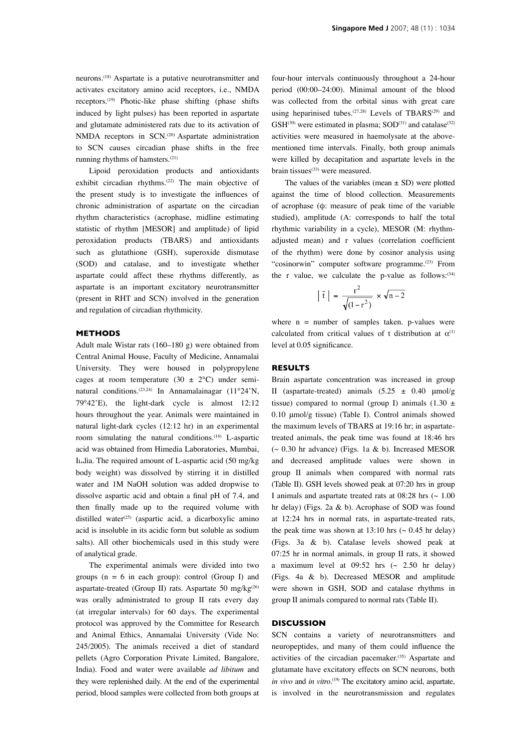running rhythms of hamsters.(21) Lipoid peroxidation products and antioxidants exhibit circadian rhythms.<sup>(22)</sup> The main objective of the present study is to investigate the influences of chronic administration of aspartate on the circadian rhythm characteristics (acrophase, midline estimating statistic of rhythm [MESOR] and amplitude) of lipid peroxidation products (TBARS) and antioxidants such as glutathione (GSH), superoxide dismutase (SOD) and catalase, and to investigate whether aspartate could affect these rhythms differently, as aspartate is an important excitatory neurotransmitter (present in RHT and SCN) involved in the generation and regulation of circadian rhythmicity.

NMDA receptors in SCN.<sup>(20)</sup> Aspartate administration to SCN causes circadian phase shifts in the free

#### **METHODS**

Adult male Wistar rats (160–180 g) were obtained from Central Animal House, Faculty of Medicine, Annamalai University. They were housed in polypropylene cages at room temperature  $(30 \pm 2^{\circ}C)$  under seminatural conditions.<sup>(23,24)</sup> In Annamalainagar (11°24'N, 79°42'E), the light-dark cycle is almost 12:12 hours throughout the year. Animals were maintained in natural light-dark cycles (12:12 hr) in an experimental room simulating the natural conditions.<sup>(16)</sup> L-aspartic acid was obtained from Himedia Laboratories, Mumbai, India. The required amount of L-aspartic acid (50 mg/kg body weight) was dissolved by stirring it in distilled water and 1M NaOH solution was added dropwise to dissolve aspartic acid and obtain a final pH of 7.4, and then finally made up to the required volume with distilled water<sup>(25)</sup> (aspartic acid, a dicarboxylic amino acid is insoluble in its acidic form but soluble as sodium salts). All other biochemicals used in this study were of analytical grade.

The experimental animals were divided into two groups ( $n = 6$  in each group): control (Group I) and aspartate-treated (Group II) rats. Aspartate 50 mg/kg<sup>(26)</sup> was orally administrated to group II rats every day (at irregular intervals) for 60 days. The experimental protocol was approved by the Committee for Research and Animal Ethics, Annamalai University (Vide No: 245/2005). The animals received a diet of standard pellets (Agro Corporation Private Limited, Bangalore, India). Food and water were available *ad libitum* and they were replenished daily. At the end of the experimental period, blood samples were collected from both groups at four-hour intervals continuously throughout a 24-hour period (00:00–24:00). Minimal amount of the blood was collected from the orbital sinus with great care using heparinised tubes.<sup>(27,28)</sup> Levels of TBARS<sup>(29)</sup> and  $GSH<sup>(30)</sup>$  were estimated in plasma;  $SOD<sup>(31)</sup>$  and catalase<sup>(32)</sup> activities were measured in haemolysate at the abovementioned time intervals. Finally, both group animals were killed by decapitation and aspartate levels in the brain tissues<sup>(33)</sup> were measured.

The values of the variables (mean  $\pm$  SD) were plotted against the time of blood collection. Measurements of acrophase (φ: measure of peak time of the variable studied), amplitude (A: corresponds to half the total rhythmic variability in a cycle), MESOR (M: rhythmadjusted mean) and r values (correlation coefficient of the rhythm) were done by cosinor analysis using "cosinorwin" computer software programme.<sup>(23)</sup> From the r value, we calculate the p-value as follows: $(34)$ 

$$
\left|\overline{\mathbf{t}}\right| = \frac{\mathbf{r}^2}{\sqrt{1-\mathbf{r}^2}} \times \sqrt{\mathbf{n} - 2}
$$

where  $n =$  number of samples taken. p-values were calculated from critical values of t distribution at  $\alpha^{(1)}$ level at 0.05 significance.

### **RESULTS**

Brain aspartate concentration was increased in group II (aspartate-treated) animals  $(5.25 \pm 0.40 \mu mol/g)$ tissue) compared to normal (group I) animals  $(1.30 \pm$ 0.10 μmol/g tissue) (Table I). Control animals showed the maximum levels of TBARS at 19:16 hr; in aspartatetreated animals, the peak time was found at 18:46 hrs  $\sim$  0.30 hr advance) (Figs. 1a & b). Increased MESOR and decreased amplitude values were shown in group II animals when compared with normal rats (Table II). GSH levels showed peak at 07:20 hrs in group I animals and aspartate treated rats at  $08:28$  hrs ( $\sim 1.00$ ) hr delay) (Figs. 2a & b). Acrophase of SOD was found at 12:24 hrs in normal rats, in aspartate-treated rats, the peak time was shown at 13:10 hrs ( $\sim$  0.45 hr delay) (Figs. 3a & b). Catalase levels showed peak at 07:25 hr in normal animals, in group II rats, it showed a maximum level at  $09:52$  hrs ( $\sim 2.50$  hr delay) (Figs. 4a & b). Decreased MESOR and amplitude were shown in GSH, SOD and catalase rhythms in group II animals compared to normal rats (Table II).

# **DISCUSSION**

SCN contains a variety of neurotransmitters and neuropeptides, and many of them could influence the activities of the circadian pacemaker.<sup>(35)</sup> Aspartate and glutamate have excitatory effects on SCN neurons, both *in vivo* and *in vitro*. (19) The excitatory amino acid, aspartate, is involved in the neurotransmission and regulates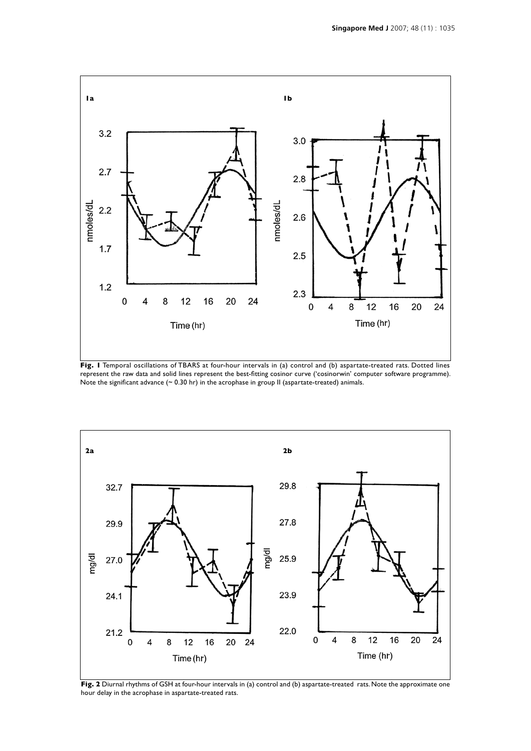

Fig. I Temporal oscillations of TBARS at four-hour intervals in (a) control and (b) aspartate-treated rats. Dotted lines represent the raw data and solid lines represent the best-fitting cosinor curve ('cosinorwin' computer software programme). Note the significant advance (~ 0.30 hr) in the acrophase in group II (aspartate-treated) animals.



**Fig. 2** Diurnal rhythms of GSH at four-hour intervals in (a) control and (b) aspartate-treated rats. Note the approximate one hour delay in the acrophase in aspartate-treated rats.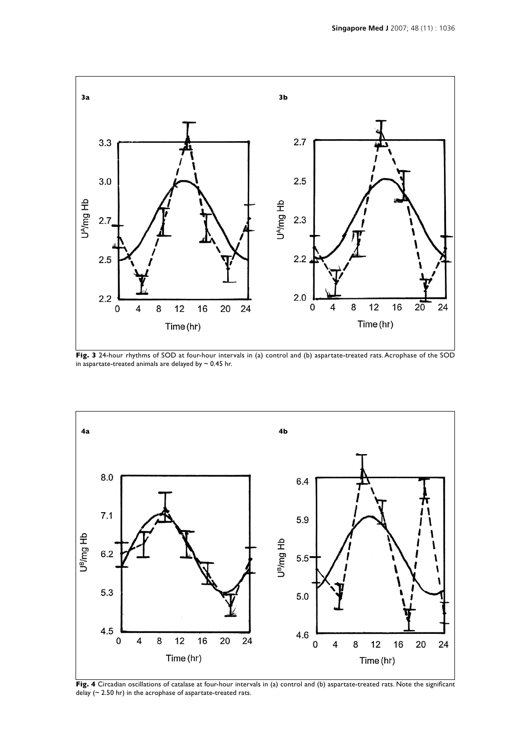

**Fig. 3** 24-hour rhythms of SOD at four-hour intervals in (a) control and (b) aspartate-treated rats. Acrophase of the SOD in aspartate-treated animals are delayed by  $\sim$  0.45 hr.



**Fig. 4** Circadian oscillations of catalase at four-hour intervals in (a) control and (b) aspartate-treated rats. Note the significant delay (~ 2.50 hr) in the acrophase of aspartate-treated rats.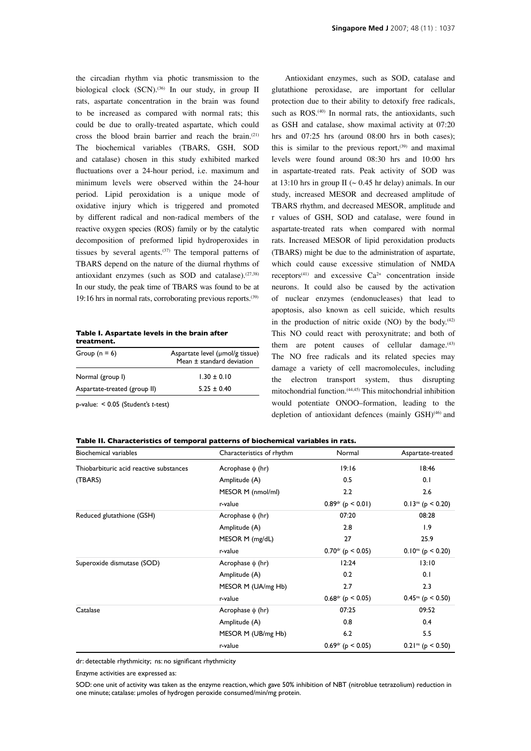the circadian rhythm via photic transmission to the biological clock  $(SCN)$ .<sup>(36)</sup> In our study, in group II rats, aspartate concentration in the brain was found to be increased as compared with normal rats; this could be due to orally-treated aspartate, which could cross the blood brain barrier and reach the brain.(21) The biochemical variables (TBARS, GSH, SOD and catalase) chosen in this study exhibited marked fluctuations over a 24-hour period, i.e. maximum and minimum levels were observed within the 24-hour period. Lipid peroxidation is a unique mode of oxidative injury which is triggered and promoted by different radical and non-radical members of the reactive oxygen species (ROS) family or by the catalytic decomposition of preformed lipid hydroperoxides in tissues by several agents. $(37)$  The temporal patterns of TBARS depend on the nature of the diurnal rhythms of antioxidant enzymes (such as SOD and catalase). $(27,38)$ In our study, the peak time of TBARS was found to be at 19:16 hrs in normal rats, corroborating previous reports.<sup>(39)</sup>

**Table I. Aspartate levels in the brain after treatment.**

| Group $(n = 6)$                       | Aspartate level (µmol/g tissue)<br>Mean ± standard deviation |
|---------------------------------------|--------------------------------------------------------------|
| Normal (group I)                      | $1.30 \pm 0.10$                                              |
| Aspartate-treated (group II)          | $5.25 \pm 0.40$                                              |
| $p$ -value: < 0.05 (Student's t-test) |                                                              |

Antioxidant enzymes, such as SOD, catalase and glutathione peroxidase, are important for cellular protection due to their ability to detoxify free radicals, such as ROS.<sup>(40)</sup> In normal rats, the antioxidants, such as GSH and catalase, show maximal activity at 07:20 hrs and 07:25 hrs (around 08:00 hrs in both cases); this is similar to the previous report, $(39)$  and maximal levels were found around 08:30 hrs and 10:00 hrs in aspartate-treated rats. Peak activity of SOD was at 13:10 hrs in group II ( $\sim$  0.45 hr delay) animals. In our study, increased MESOR and decreased amplitude of TBARS rhythm, and decreased MESOR, amplitude and r values of GSH, SOD and catalase, were found in aspartate-treated rats when compared with normal rats. Increased MESOR of lipid peroxidation products (TBARS) might be due to the administration of aspartate, which could cause excessive stimulation of NMDA receptors<sup>(41)</sup> and excessive  $Ca^{2+}$  concentration inside neurons. It could also be caused by the activation of nuclear enzymes (endonucleases) that lead to apoptosis, also known as cell suicide, which results in the production of nitric oxide (NO) by the body. $(42)$ This NO could react with peroxynitrate; and both of them are potent causes of cellular damage. $(43)$ The NO free radicals and its related species may damage a variety of cell macromolecules, including the electron transport system, thus disrupting mitochondrial function.(44,45) This mitochondrial inhibition would potentiate ONOO–formation, leading to the depletion of antioxidant defences (mainly GSH)<sup>(46)</sup> and

#### **Table II. Characteristics of temporal patterns of biochemical variables in rats.**

| <b>Biochemical variables</b>            | Characteristics of rhythm | Normal              | Aspartate-treated      |
|-----------------------------------------|---------------------------|---------------------|------------------------|
| Thiobarbituric acid reactive substances | Acrophase $\phi$ (hr)     | 19:16               | 18:46                  |
| (TBARS)                                 | Amplitude (A)             | 0.5                 | 0.1                    |
|                                         | MESOR M (nmol/ml)         | 2.2                 | 2.6                    |
|                                         | r-value                   | $0.89dr$ (p < 0.01) | $0.13^{ns}$ (p < 0.20) |
| Reduced glutathione (GSH)               | Acrophase $\phi$ (hr)     | 07:20               | 08:28                  |
|                                         | Amplitude (A)             | 2.8                 | 1.9                    |
|                                         | MESOR M (mg/dL)           | 27                  | 25.9                   |
|                                         | r-value                   | $0.70dr$ (p < 0.05) | $0.10^{ns}$ (p < 0.20) |
| Superoxide dismutase (SOD)              | Acrophase $\phi$ (hr)     | 12:24               | 13:10                  |
|                                         | Amplitude (A)             | 0.2                 | 0.1                    |
|                                         | MESOR M (UA/mg Hb)        | 2.7                 | 2.3                    |
|                                         | r-value                   | $0.68dr$ (p < 0.05) | $0.45^{ns}$ (p < 0.50) |
| Catalase                                | Acrophase $\phi$ (hr)     | 07:25               | 09:52                  |
|                                         | Amplitude (A)             | 0.8                 | 0.4                    |
|                                         | MESOR M (UB/mg Hb)        | 6.2                 | 5.5                    |
|                                         | r-value                   | $0.69dr$ (p < 0.05) | $0.21ns$ (p < 0.50)    |

dr: detectable rhythmicity; ns: no significant rhythmicity

Enzyme activities are expressed as:

SOD: one unit of activity was taken as the enzyme reaction, which gave 50% inhibition of NBT (nitroblue tetrazolium) reduction in one minute; catalase: μmoles of hydrogen peroxide consumed/min/mg protein.